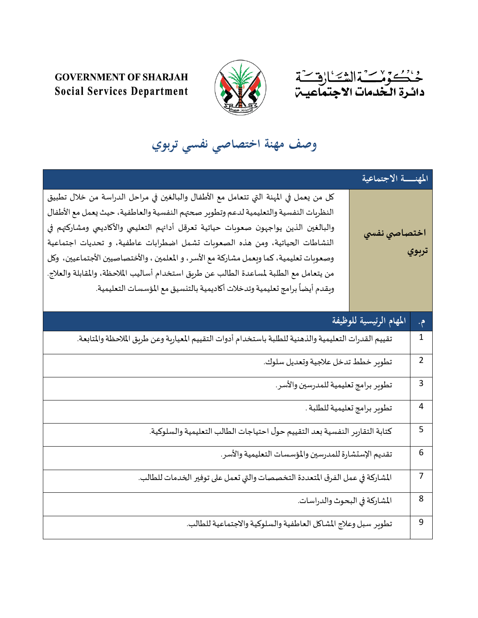



## **GOVERNMENT OF SHARJAH Social Services Department**

## **وصف مهنة اختصاصي نفسي تربوي**

|                                                                                                                                                                                                                                                                                                                                                                                                                                                                                                                                                                                                                      | المهنسة الاجتماعية      |                |
|----------------------------------------------------------------------------------------------------------------------------------------------------------------------------------------------------------------------------------------------------------------------------------------------------------------------------------------------------------------------------------------------------------------------------------------------------------------------------------------------------------------------------------------------------------------------------------------------------------------------|-------------------------|----------------|
| كل من يعمل في المهنة التي تتعامل مع الأطفال والبالغين في مراحل الدراسة من خلال تطبيق<br>النظريات النفسية والتعليمية لدعم وتطوير صحتهم النفسية والعاطفية، حيث يعمل مع الأطفال<br>والبالغين الذين يواجهون صعوبات حياتية تعرقل أدائهم التعليمي والأكاديمي ومشاركتهم في<br>النشاطات الحياتية، ومن هذه الصعوبات تشمل اضطرابات عاطفية، و تحديات اجتماعية<br>وصعوبات تعليمية، كما وبعمل مشاركة مع الأسر، و المعلمين ، والأختصاصيين الأجتماعيين، وكل<br>من يتعامل مع الطلبة لمساعدة الطالب عن طريق استخدام أساليب الملاحظة، والمقابلة والعلاج.<br>ويقدم أيضاً برامج تعليمية وتدخلات أكاديمية بالتنسيق مع المؤسسات التعليمية. | اختصاصي نفسي            | تربوي          |
|                                                                                                                                                                                                                                                                                                                                                                                                                                                                                                                                                                                                                      | المهام الرئيسية للوظيفة | م.             |
| تقييم القدرات التعليمية والذهنية للطلبة باستخدام أدوات التقييم المعيارية وعن طريق الملاحظة والمتابعة.                                                                                                                                                                                                                                                                                                                                                                                                                                                                                                                |                         | $\mathbf 1$    |
| تطوير خطط تدخل علاجية وتعديل سلوك.                                                                                                                                                                                                                                                                                                                                                                                                                                                                                                                                                                                   |                         | $\overline{2}$ |
| تطوير برامج تعليمية للمدرسين والأسر.                                                                                                                                                                                                                                                                                                                                                                                                                                                                                                                                                                                 |                         | 3              |
| تطوير برامج تعليمية للطلبة .                                                                                                                                                                                                                                                                                                                                                                                                                                                                                                                                                                                         |                         | 4              |
| كتابة التقارير النفسية بعد التقييم حول احتياجات الطالب التعليمية والسلوكية.                                                                                                                                                                                                                                                                                                                                                                                                                                                                                                                                          |                         | 5              |
| تقديم الإستشارة للمدرسين والمؤسسات التعليمية والأسر.                                                                                                                                                                                                                                                                                                                                                                                                                                                                                                                                                                 |                         | 6              |
| المشاركة في عمل الفرق المتعددة التخصصات والتي تعمل على توفير الخدمات للطالب.                                                                                                                                                                                                                                                                                                                                                                                                                                                                                                                                         |                         | $\overline{7}$ |
| المشاركة في البحوث والدراسات.                                                                                                                                                                                                                                                                                                                                                                                                                                                                                                                                                                                        |                         | 8              |
| تطوير سبل وعلاج المشاكل العاطفية والسلوكية والاجتماعية للطالب.                                                                                                                                                                                                                                                                                                                                                                                                                                                                                                                                                       |                         | 9              |